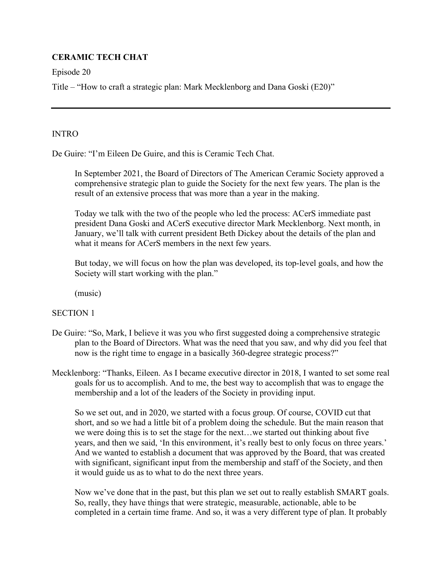# **CERAMIC TECH CHAT**

Episode 20

Title – "How to craft a strategic plan: Mark Mecklenborg and Dana Goski (E20)"

## INTRO

De Guire: "I'm Eileen De Guire, and this is Ceramic Tech Chat.

In September 2021, the Board of Directors of The American Ceramic Society approved a comprehensive strategic plan to guide the Society for the next few years. The plan is the result of an extensive process that was more than a year in the making.

Today we talk with the two of the people who led the process: ACerS immediate past president Dana Goski and ACerS executive director Mark Mecklenborg. Next month, in January, we'll talk with current president Beth Dickey about the details of the plan and what it means for ACerS members in the next few years.

But today, we will focus on how the plan was developed, its top-level goals, and how the Society will start working with the plan."

(music)

## SECTION 1

- De Guire: "So, Mark, I believe it was you who first suggested doing a comprehensive strategic plan to the Board of Directors. What was the need that you saw, and why did you feel that now is the right time to engage in a basically 360-degree strategic process?"
- Mecklenborg: "Thanks, Eileen. As I became executive director in 2018, I wanted to set some real goals for us to accomplish. And to me, the best way to accomplish that was to engage the membership and a lot of the leaders of the Society in providing input.

 So we set out, and in 2020, we started with a focus group. Of course, COVID cut that short, and so we had a little bit of a problem doing the schedule. But the main reason that we were doing this is to set the stage for the next…we started out thinking about five years, and then we said, 'In this environment, it's really best to only focus on three years.' And we wanted to establish a document that was approved by the Board, that was created with significant, significant input from the membership and staff of the Society, and then it would guide us as to what to do the next three years.

 Now we've done that in the past, but this plan we set out to really establish SMART goals. So, really, they have things that were strategic, measurable, actionable, able to be completed in a certain time frame. And so, it was a very different type of plan. It probably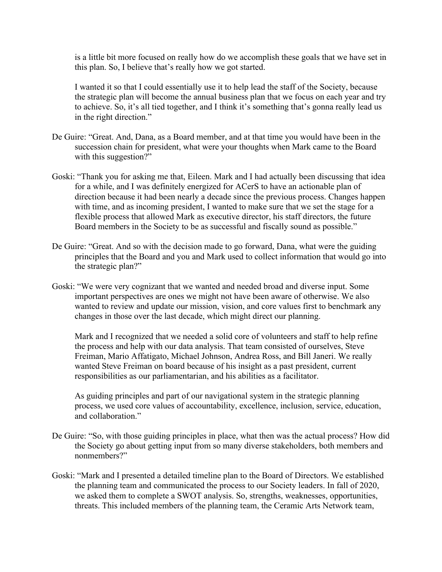is a little bit more focused on really how do we accomplish these goals that we have set in this plan. So, I believe that's really how we got started.

I wanted it so that I could essentially use it to help lead the staff of the Society, because the strategic plan will become the annual business plan that we focus on each year and try to achieve. So, it's all tied together, and I think it's something that's gonna really lead us in the right direction."

- De Guire: "Great. And, Dana, as a Board member, and at that time you would have been in the succession chain for president, what were your thoughts when Mark came to the Board with this suggestion?"
- Goski: "Thank you for asking me that, Eileen. Mark and I had actually been discussing that idea for a while, and I was definitely energized for ACerS to have an actionable plan of direction because it had been nearly a decade since the previous process. Changes happen with time, and as incoming president, I wanted to make sure that we set the stage for a flexible process that allowed Mark as executive director, his staff directors, the future Board members in the Society to be as successful and fiscally sound as possible."
- De Guire: "Great. And so with the decision made to go forward, Dana, what were the guiding principles that the Board and you and Mark used to collect information that would go into the strategic plan?"
- Goski: "We were very cognizant that we wanted and needed broad and diverse input. Some important perspectives are ones we might not have been aware of otherwise. We also wanted to review and update our mission, vision, and core values first to benchmark any changes in those over the last decade, which might direct our planning.

Mark and I recognized that we needed a solid core of volunteers and staff to help refine the process and help with our data analysis. That team consisted of ourselves, Steve Freiman, Mario Affatigato, Michael Johnson, Andrea Ross, and Bill Janeri. We really wanted Steve Freiman on board because of his insight as a past president, current responsibilities as our parliamentarian, and his abilities as a facilitator.

 As guiding principles and part of our navigational system in the strategic planning process, we used core values of accountability, excellence, inclusion, service, education, and collaboration."

- De Guire: "So, with those guiding principles in place, what then was the actual process? How did the Society go about getting input from so many diverse stakeholders, both members and nonmembers?"
- Goski: "Mark and I presented a detailed timeline plan to the Board of Directors. We established the planning team and communicated the process to our Society leaders. In fall of 2020, we asked them to complete a SWOT analysis. So, strengths, weaknesses, opportunities, threats. This included members of the planning team, the Ceramic Arts Network team,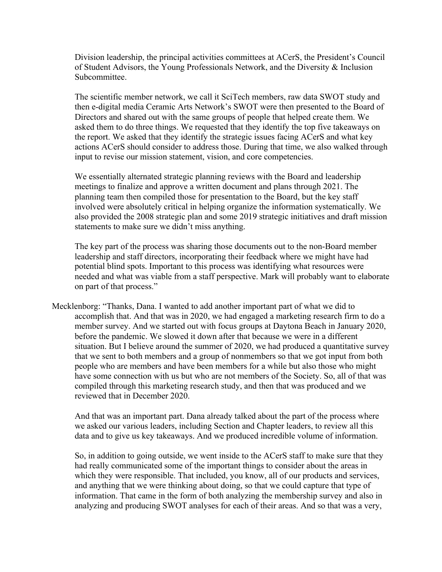Division leadership, the principal activities committees at ACerS, the President's Council of Student Advisors, the Young Professionals Network, and the Diversity & Inclusion Subcommittee.

The scientific member network, we call it SciTech members, raw data SWOT study and then e-digital media Ceramic Arts Network's SWOT were then presented to the Board of Directors and shared out with the same groups of people that helped create them. We asked them to do three things. We requested that they identify the top five takeaways on the report. We asked that they identify the strategic issues facing ACerS and what key actions ACerS should consider to address those. During that time, we also walked through input to revise our mission statement, vision, and core competencies.

We essentially alternated strategic planning reviews with the Board and leadership meetings to finalize and approve a written document and plans through 2021. The planning team then compiled those for presentation to the Board, but the key staff involved were absolutely critical in helping organize the information systematically. We also provided the 2008 strategic plan and some 2019 strategic initiatives and draft mission statements to make sure we didn't miss anything.

The key part of the process was sharing those documents out to the non-Board member leadership and staff directors, incorporating their feedback where we might have had potential blind spots. Important to this process was identifying what resources were needed and what was viable from a staff perspective. Mark will probably want to elaborate on part of that process."

Mecklenborg: "Thanks, Dana. I wanted to add another important part of what we did to accomplish that. And that was in 2020, we had engaged a marketing research firm to do a member survey. And we started out with focus groups at Daytona Beach in January 2020, before the pandemic. We slowed it down after that because we were in a different situation. But I believe around the summer of 2020, we had produced a quantitative survey that we sent to both members and a group of nonmembers so that we got input from both people who are members and have been members for a while but also those who might have some connection with us but who are not members of the Society. So, all of that was compiled through this marketing research study, and then that was produced and we reviewed that in December 2020.

And that was an important part. Dana already talked about the part of the process where we asked our various leaders, including Section and Chapter leaders, to review all this data and to give us key takeaways. And we produced incredible volume of information.

So, in addition to going outside, we went inside to the ACerS staff to make sure that they had really communicated some of the important things to consider about the areas in which they were responsible. That included, you know, all of our products and services, and anything that we were thinking about doing, so that we could capture that type of information. That came in the form of both analyzing the membership survey and also in analyzing and producing SWOT analyses for each of their areas. And so that was a very,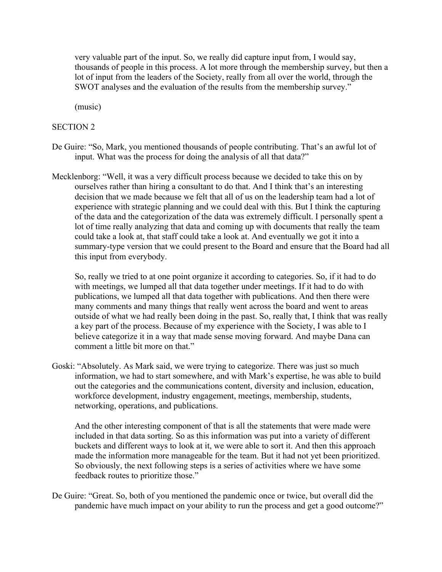very valuable part of the input. So, we really did capture input from, I would say, thousands of people in this process. A lot more through the membership survey, but then a lot of input from the leaders of the Society, really from all over the world, through the SWOT analyses and the evaluation of the results from the membership survey."

(music)

#### SECTION 2

- De Guire: "So, Mark, you mentioned thousands of people contributing. That's an awful lot of input. What was the process for doing the analysis of all that data?"
- Mecklenborg: "Well, it was a very difficult process because we decided to take this on by ourselves rather than hiring a consultant to do that. And I think that's an interesting decision that we made because we felt that all of us on the leadership team had a lot of experience with strategic planning and we could deal with this. But I think the capturing of the data and the categorization of the data was extremely difficult. I personally spent a lot of time really analyzing that data and coming up with documents that really the team could take a look at, that staff could take a look at. And eventually we got it into a summary-type version that we could present to the Board and ensure that the Board had all this input from everybody.

So, really we tried to at one point organize it according to categories. So, if it had to do with meetings, we lumped all that data together under meetings. If it had to do with publications, we lumped all that data together with publications. And then there were many comments and many things that really went across the board and went to areas outside of what we had really been doing in the past. So, really that, I think that was really a key part of the process. Because of my experience with the Society, I was able to I believe categorize it in a way that made sense moving forward. And maybe Dana can comment a little bit more on that."

Goski: "Absolutely. As Mark said, we were trying to categorize. There was just so much information, we had to start somewhere, and with Mark's expertise, he was able to build out the categories and the communications content, diversity and inclusion, education, workforce development, industry engagement, meetings, membership, students, networking, operations, and publications.

 And the other interesting component of that is all the statements that were made were included in that data sorting. So as this information was put into a variety of different buckets and different ways to look at it, we were able to sort it. And then this approach made the information more manageable for the team. But it had not yet been prioritized. So obviously, the next following steps is a series of activities where we have some feedback routes to prioritize those."

De Guire: "Great. So, both of you mentioned the pandemic once or twice, but overall did the pandemic have much impact on your ability to run the process and get a good outcome?"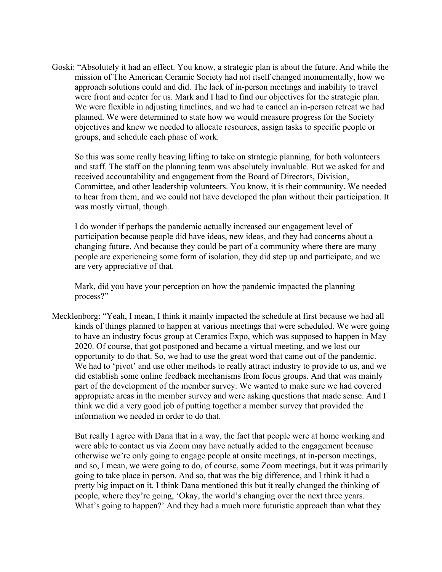Goski: "Absolutely it had an effect. You know, a strategic plan is about the future. And while the mission of The American Ceramic Society had not itself changed monumentally, how we approach solutions could and did. The lack of in-person meetings and inability to travel were front and center for us. Mark and I had to find our objectives for the strategic plan. We were flexible in adjusting timelines, and we had to cancel an in-person retreat we had planned. We were determined to state how we would measure progress for the Society objectives and knew we needed to allocate resources, assign tasks to specific people or groups, and schedule each phase of work.

So this was some really heaving lifting to take on strategic planning, for both volunteers and staff. The staff on the planning team was absolutely invaluable. But we asked for and received accountability and engagement from the Board of Directors, Division, Committee, and other leadership volunteers. You know, it is their community. We needed to hear from them, and we could not have developed the plan without their participation. It was mostly virtual, though.

I do wonder if perhaps the pandemic actually increased our engagement level of participation because people did have ideas, new ideas, and they had concerns about a changing future. And because they could be part of a community where there are many people are experiencing some form of isolation, they did step up and participate, and we are very appreciative of that.

Mark, did you have your perception on how the pandemic impacted the planning process?"

Mecklenborg: "Yeah, I mean, I think it mainly impacted the schedule at first because we had all kinds of things planned to happen at various meetings that were scheduled. We were going to have an industry focus group at Ceramics Expo, which was supposed to happen in May 2020. Of course, that got postponed and became a virtual meeting, and we lost our opportunity to do that. So, we had to use the great word that came out of the pandemic. We had to 'pivot' and use other methods to really attract industry to provide to us, and we did establish some online feedback mechanisms from focus groups. And that was mainly part of the development of the member survey. We wanted to make sure we had covered appropriate areas in the member survey and were asking questions that made sense. And I think we did a very good job of putting together a member survey that provided the information we needed in order to do that.

 But really I agree with Dana that in a way, the fact that people were at home working and were able to contact us via Zoom may have actually added to the engagement because otherwise we're only going to engage people at onsite meetings, at in-person meetings, and so, I mean, we were going to do, of course, some Zoom meetings, but it was primarily going to take place in person. And so, that was the big difference, and I think it had a pretty big impact on it. I think Dana mentioned this but it really changed the thinking of people, where they're going, 'Okay, the world's changing over the next three years. What's going to happen?' And they had a much more futuristic approach than what they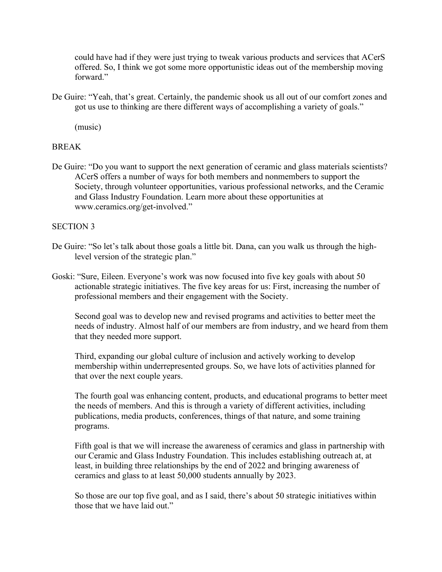could have had if they were just trying to tweak various products and services that ACerS offered. So, I think we got some more opportunistic ideas out of the membership moving forward."

De Guire: "Yeah, that's great. Certainly, the pandemic shook us all out of our comfort zones and got us use to thinking are there different ways of accomplishing a variety of goals."

(music)

### BREAK

De Guire: "Do you want to support the next generation of ceramic and glass materials scientists? ACerS offers a number of ways for both members and nonmembers to support the Society, through volunteer opportunities, various professional networks, and the Ceramic and Glass Industry Foundation. Learn more about these opportunities at www.ceramics.org/get-involved."

### SECTION 3

- De Guire: "So let's talk about those goals a little bit. Dana, can you walk us through the highlevel version of the strategic plan."
- Goski: "Sure, Eileen. Everyone's work was now focused into five key goals with about 50 actionable strategic initiatives. The five key areas for us: First, increasing the number of professional members and their engagement with the Society.

Second goal was to develop new and revised programs and activities to better meet the needs of industry. Almost half of our members are from industry, and we heard from them that they needed more support.

Third, expanding our global culture of inclusion and actively working to develop membership within underrepresented groups. So, we have lots of activities planned for that over the next couple years.

The fourth goal was enhancing content, products, and educational programs to better meet the needs of members. And this is through a variety of different activities, including publications, media products, conferences, things of that nature, and some training programs.

Fifth goal is that we will increase the awareness of ceramics and glass in partnership with our Ceramic and Glass Industry Foundation. This includes establishing outreach at, at least, in building three relationships by the end of 2022 and bringing awareness of ceramics and glass to at least 50,000 students annually by 2023.

So those are our top five goal, and as I said, there's about 50 strategic initiatives within those that we have laid out."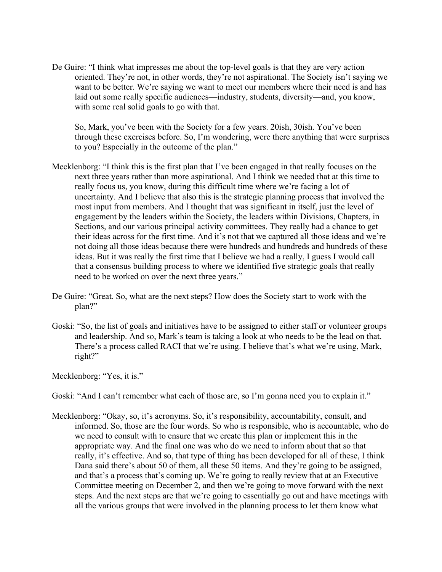De Guire: "I think what impresses me about the top-level goals is that they are very action oriented. They're not, in other words, they're not aspirational. The Society isn't saying we want to be better. We're saying we want to meet our members where their need is and has laid out some really specific audiences—industry, students, diversity—and, you know, with some real solid goals to go with that.

So, Mark, you've been with the Society for a few years. 20ish, 30ish. You've been through these exercises before. So, I'm wondering, were there anything that were surprises to you? Especially in the outcome of the plan."

- Mecklenborg: "I think this is the first plan that I've been engaged in that really focuses on the next three years rather than more aspirational. And I think we needed that at this time to really focus us, you know, during this difficult time where we're facing a lot of uncertainty. And I believe that also this is the strategic planning process that involved the most input from members. And I thought that was significant in itself, just the level of engagement by the leaders within the Society, the leaders within Divisions, Chapters, in Sections, and our various principal activity committees. They really had a chance to get their ideas across for the first time. And it's not that we captured all those ideas and we're not doing all those ideas because there were hundreds and hundreds and hundreds of these ideas. But it was really the first time that I believe we had a really, I guess I would call that a consensus building process to where we identified five strategic goals that really need to be worked on over the next three years."
- De Guire: "Great. So, what are the next steps? How does the Society start to work with the plan?"
- Goski: "So, the list of goals and initiatives have to be assigned to either staff or volunteer groups and leadership. And so, Mark's team is taking a look at who needs to be the lead on that. There's a process called RACI that we're using. I believe that's what we're using, Mark, right?"

Mecklenborg: "Yes, it is."

Goski: "And I can't remember what each of those are, so I'm gonna need you to explain it."

Mecklenborg: "Okay, so, it's acronyms. So, it's responsibility, accountability, consult, and informed. So, those are the four words. So who is responsible, who is accountable, who do we need to consult with to ensure that we create this plan or implement this in the appropriate way. And the final one was who do we need to inform about that so that really, it's effective. And so, that type of thing has been developed for all of these, I think Dana said there's about 50 of them, all these 50 items. And they're going to be assigned, and that's a process that's coming up. We're going to really review that at an Executive Committee meeting on December 2, and then we're going to move forward with the next steps. And the next steps are that we're going to essentially go out and have meetings with all the various groups that were involved in the planning process to let them know what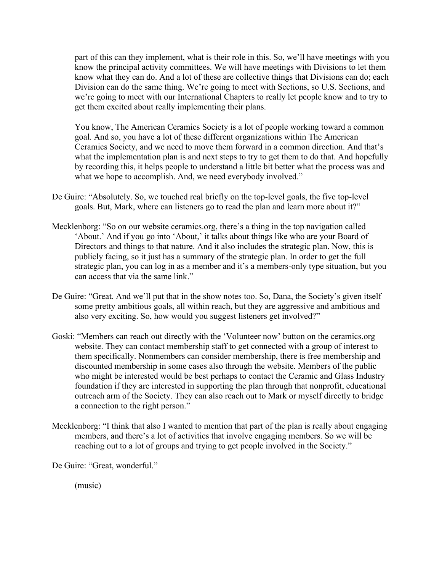part of this can they implement, what is their role in this. So, we'll have meetings with you know the principal activity committees. We will have meetings with Divisions to let them know what they can do. And a lot of these are collective things that Divisions can do; each Division can do the same thing. We're going to meet with Sections, so U.S. Sections, and we're going to meet with our International Chapters to really let people know and to try to get them excited about really implementing their plans.

You know, The American Ceramics Society is a lot of people working toward a common goal. And so, you have a lot of these different organizations within The American Ceramics Society, and we need to move them forward in a common direction. And that's what the implementation plan is and next steps to try to get them to do that. And hopefully by recording this, it helps people to understand a little bit better what the process was and what we hope to accomplish. And, we need everybody involved."

- De Guire: "Absolutely. So, we touched real briefly on the top-level goals, the five top-level goals. But, Mark, where can listeners go to read the plan and learn more about it?"
- Mecklenborg: "So on our website ceramics.org, there's a thing in the top navigation called 'About.' And if you go into 'About,' it talks about things like who are your Board of Directors and things to that nature. And it also includes the strategic plan. Now, this is publicly facing, so it just has a summary of the strategic plan. In order to get the full strategic plan, you can log in as a member and it's a members-only type situation, but you can access that via the same link."
- De Guire: "Great. And we'll put that in the show notes too. So, Dana, the Society's given itself some pretty ambitious goals, all within reach, but they are aggressive and ambitious and also very exciting. So, how would you suggest listeners get involved?"
- Goski: "Members can reach out directly with the 'Volunteer now' button on the ceramics.org website. They can contact membership staff to get connected with a group of interest to them specifically. Nonmembers can consider membership, there is free membership and discounted membership in some cases also through the website. Members of the public who might be interested would be best perhaps to contact the Ceramic and Glass Industry foundation if they are interested in supporting the plan through that nonprofit, educational outreach arm of the Society. They can also reach out to Mark or myself directly to bridge a connection to the right person."
- Mecklenborg: "I think that also I wanted to mention that part of the plan is really about engaging members, and there's a lot of activities that involve engaging members. So we will be reaching out to a lot of groups and trying to get people involved in the Society."

De Guire: "Great, wonderful."

(music)